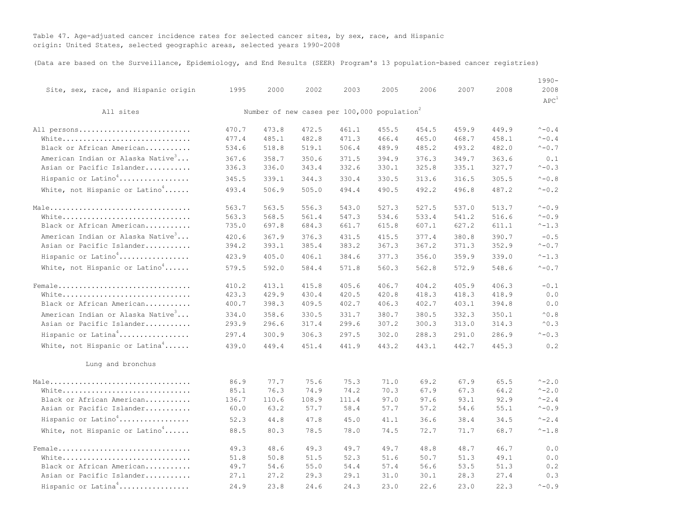Table 47. Age-adjusted cancer incidence rates for selected cancer sites, by sex, race, and Hispanic origin: United States, selected geographic areas, selected years 1990-2008

(Data are based on the Surveillance, Epidemiology, and End Results (SEER) Program's 13 population-based cancer registries)

| Site, sex, race, and Hispanic origin          | 1995  | 2000  | 2002  | 2003                                                    | 2005  | 2006  | 2007  | 2008  | $1990 -$<br>2008<br>APC <sup>1</sup> |
|-----------------------------------------------|-------|-------|-------|---------------------------------------------------------|-------|-------|-------|-------|--------------------------------------|
| All sites                                     |       |       |       | Number of new cases per 100,000 population <sup>2</sup> |       |       |       |       |                                      |
| All persons                                   | 470.7 | 473.8 | 472.5 | 461.1                                                   | 455.5 | 454.5 | 459.9 | 449.9 | $^{\wedge} - 0.4$                    |
| White                                         | 477.4 | 485.1 | 482.8 | 471.3                                                   | 466.4 | 465.0 | 468.7 | 458.1 | $^{\wedge} - 0.4$                    |
| Black or African American                     | 534.6 | 518.8 | 519.1 | 506.4                                                   | 489.9 | 485.2 | 493.2 | 482.0 | $^{\wedge}$ - 0.7                    |
| American Indian or Alaska Native <sup>3</sup> | 367.6 | 358.7 | 350.6 | 371.5                                                   | 394.9 | 376.3 | 349.7 | 363.6 | 0.1                                  |
| Asian or Pacific Islander                     | 336.3 | 336.0 | 343.4 | 332.6                                                   | 330.1 | 325.8 | 335.1 | 327.7 | $^{\wedge} -0.3$                     |
| Hispanic or Latino <sup>4</sup>               | 345.5 | 339.1 | 344.3 | 330.4                                                   | 330.5 | 313.6 | 316.5 | 305.5 | $^{\wedge} -0.8$                     |
| White, not Hispanic or Latino <sup>4</sup>    | 493.4 | 506.9 | 505.0 | 494.4                                                   | 490.5 | 492.2 | 496.8 | 487.2 | $^{\wedge}$ - 0.2                    |
| Male                                          | 563.7 | 563.5 | 556.3 | 543.0                                                   | 527.3 | 527.5 | 537.0 | 513.7 | $^{\wedge} - 0.9$                    |
| White                                         | 563.3 | 568.5 | 561.4 | 547.3                                                   | 534.6 | 533.4 | 541.2 | 516.6 | $^{\wedge} - 0.9$                    |
| Black or African American                     | 735.0 | 697.8 | 684.3 | 661.7                                                   | 615.8 | 607.1 | 627.2 | 611.1 | $^{\wedge} -1.3$                     |
| American Indian or Alaska Native <sup>3</sup> | 420.6 | 367.9 | 376.3 | 431.5                                                   | 415.5 | 377.4 | 380.8 | 390.7 | $-0.5$                               |
| Asian or Pacific Islander                     | 394.2 | 393.1 | 385.4 | 383.2                                                   | 367.3 | 367.2 | 371.3 | 352.9 | $^{\wedge}$ - 0.7                    |
| Hispanic or Latino <sup>4</sup>               | 423.9 | 405.0 | 406.1 | 384.6                                                   | 377.3 | 356.0 | 359.9 | 339.0 | $^{\wedge} -1.3$                     |
| White, not Hispanic or Latino <sup>4</sup>    | 579.5 | 592.0 | 584.4 | 571.8                                                   | 560.3 | 562.8 | 572.9 | 548.6 | $^{\wedge} - 0.7$                    |
| Female                                        | 410.2 | 413.1 | 415.8 | 405.6                                                   | 406.7 | 404.2 | 405.9 | 406.3 | $-0.1$                               |
| White                                         | 423.3 | 429.9 | 430.4 | 420.5                                                   | 420.8 | 418.3 | 418.3 | 418.9 | 0.0                                  |
| Black or African American                     | 400.7 | 398.3 | 409.5 | 402.7                                                   | 406.3 | 402.7 | 403.1 | 394.8 | 0.0                                  |
| American Indian or Alaska Native <sup>3</sup> | 334.0 | 358.6 | 330.5 | 331.7                                                   | 380.7 | 380.5 | 332.3 | 350.1 | $^{\small \wedge}$ 0 . 8             |
| Asian or Pacific Islander                     | 293.9 | 296.6 | 317.4 | 299.6                                                   | 307.2 | 300.3 | 313.0 | 314.3 | $^{\wedge}0.3$                       |
| Hispanic or Latina <sup>4</sup>               | 297.4 | 300.9 | 306.3 | 297.5                                                   | 302.0 | 288.3 | 291.0 | 286.9 | $^{\wedge} -0.3$                     |
| White, not Hispanic or Latina <sup>4</sup>    | 439.0 | 449.4 | 451.4 | 441.9                                                   | 443.2 | 443.1 | 442.7 | 445.3 | 0.2                                  |
| Lung and bronchus                             |       |       |       |                                                         |       |       |       |       |                                      |
| Male                                          | 86.9  | 77.7  | 75.6  | 75.3                                                    | 71.0  | 69.2  | 67.9  | 65.5  | $^{\wedge} - 2.0$                    |
| White                                         | 85.1  | 76.3  | 74.9  | 74.2                                                    | 70.3  | 67.9  | 67.3  | 64.2  | $^{\wedge} - 2.0$                    |
| Black or African American                     | 136.7 | 110.6 | 108.9 | 111.4                                                   | 97.0  | 97.6  | 93.1  | 92.9  | $^{\wedge}$ – 2.4                    |
| Asian or Pacific Islander                     | 60.0  | 63.2  | 57.7  | 58.4                                                    | 57.7  | 57.2  | 54.6  | 55.1  | $^{\wedge} -0.9$                     |
| Hispanic or Latino <sup>4</sup>               | 52.3  | 44.8  | 47.8  | 45.0                                                    | 41.1  | 36.6  | 38.4  | 34.5  | $^{\wedge} -2.4$                     |
| White, not Hispanic or Latino <sup>4</sup>    | 88.5  | 80.3  | 78.5  | 78.0                                                    | 74.5  | 72.7  | 71.7  | 68.7  | $^{\wedge} -1.8$                     |
| Female                                        | 49.3  | 48.6  | 49.3  | 49.7                                                    | 49.7  | 48.8  | 48.7  | 46.7  | 0.0                                  |
| White                                         | 51.8  | 50.8  | 51.5  | 52.3                                                    | 51.6  | 50.7  | 51.3  | 49.1  | 0.0                                  |
| Black or African American                     | 49.7  | 54.6  | 55.0  | 54.4                                                    | 57.4  | 56.6  | 53.5  | 51.3  | 0.2                                  |
| Asian or Pacific Islander                     | 27.1  | 27.2  | 29.3  | 29.1                                                    | 31.0  | 30.1  | 28.3  | 27.4  | 0.3                                  |
| Hispanic or Latina <sup>4</sup>               | 24.9  | 23.8  | 24.6  | 24.3                                                    | 23.0  | 22.6  | 23.0  | 22.3  | $^{\wedge} -0.9$                     |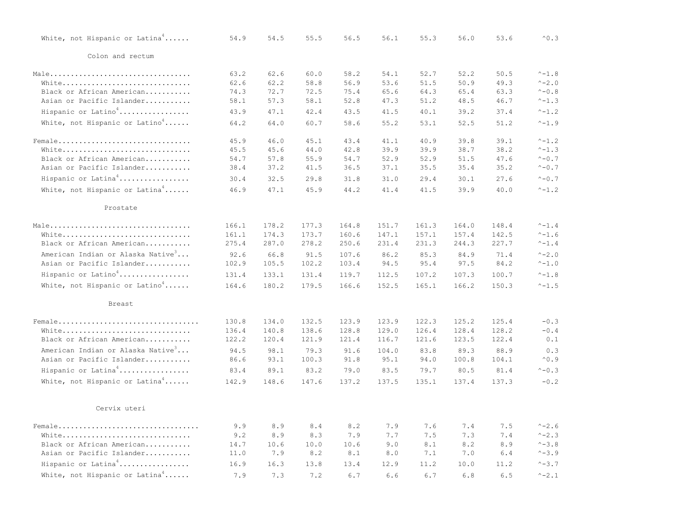| White, not Hispanic or Latina <sup>4</sup>    | 54.9  | 54.5  | 55.5  | 56.5  | 56.1  | 55.3  | 56.0  | 53.6  | $^{\wedge}0.3$         |
|-----------------------------------------------|-------|-------|-------|-------|-------|-------|-------|-------|------------------------|
| Colon and rectum                              |       |       |       |       |       |       |       |       |                        |
| Male                                          | 63.2  | 62.6  | 60.0  | 58.2  | 54.1  | 52.7  | 52.2  | 50.5  | $^{\wedge} -1.8$       |
| White                                         | 62.6  | 62.2  | 58.8  | 56.9  | 53.6  | 51.5  | 50.9  | 49.3  | $^{\wedge} -2.0$       |
| Black or African American                     | 74.3  | 72.7  | 72.5  | 75.4  | 65.6  | 64.3  | 65.4  | 63.3  | $^{\wedge} -0.8$       |
| Asian or Pacific Islander                     | 58.1  | 57.3  | 58.1  | 52.8  | 47.3  | 51.2  | 48.5  | 46.7  | $^{\wedge}-1.3$        |
| Hispanic or $Latino4$                         | 43.9  | 47.1  | 42.4  | 43.5  | 41.5  | 40.1  | 39.2  | 37.4  | $^{\wedge} - 1.2$      |
| White, not Hispanic or Latino <sup>4</sup>    | 64.2  | 64.0  | 60.7  | 58.6  | 55.2  | 53.1  | 52.5  | 51.2  | $^{\wedge} -1.9$       |
| Female                                        | 45.9  | 46.0  | 45.1  | 43.4  | 41.1  | 40.9  | 39.8  | 39.1  | $^{\wedge} -1.2$       |
| White                                         | 45.5  | 45.6  | 44.0  | 42.8  | 39.9  | 39.9  | 38.7  | 38.2  | $^{\wedge} -1.3$       |
| Black or African American                     | 54.7  | 57.8  | 55.9  | 54.7  | 52.9  | 52.9  | 51.5  | 47.6  | $^{\wedge}$ - 0.7      |
| Asian or Pacific Islander                     | 38.4  | 37.2  | 41.5  | 36.5  | 37.1  | 35.5  | 35.4  | 35.2  | $^{\wedge}$ - 0.7      |
| Hispanic or Latina <sup>4</sup>               | 30.4  | 32.5  | 29.8  | 31.8  | 31.0  | 29.4  | 30.1  | 27.6  | $^{\wedge}$ - 0.7      |
| White, not Hispanic or Latina <sup>4</sup>    | 46.9  | 47.1  | 45.9  | 44.2  | 41.4  | 41.5  | 39.9  | 40.0  | $^{\wedge} - 1.2$      |
|                                               |       |       |       |       |       |       |       |       |                        |
| Prostate                                      |       |       |       |       |       |       |       |       |                        |
|                                               | 166.1 | 178.2 | 177.3 | 164.8 | 151.7 | 161.3 | 164.0 | 148.4 | $^{\wedge}-1.4$        |
| White                                         | 161.1 | 174.3 | 173.7 | 160.6 | 147.1 | 157.1 | 157.4 | 142.5 | $^{\wedge} -1.6$       |
| Black or African American                     | 275.4 | 287.0 | 278.2 | 250.6 | 231.4 | 231.3 | 244.3 | 227.7 | $^{\smallfrown}-1$ . 4 |
| American Indian or Alaska Native <sup>3</sup> | 92.6  | 66.8  | 91.5  | 107.6 | 86.2  | 85.3  | 84.9  | 71.4  | $^{\wedge} -2.0$       |
| Asian or Pacific Islander                     | 102.9 | 105.5 | 102.2 | 103.4 | 94.5  | 95.4  | 97.5  | 84.2  | $^{\wedge}-1.0$        |
| Hispanic or Latino <sup>4</sup>               | 131.4 | 133.1 | 131.4 | 119.7 | 112.5 | 107.2 | 107.3 | 100.7 | $^{\wedge}-1.8$        |
| White, not Hispanic or Latino <sup>4</sup>    | 164.6 | 180.2 | 179.5 | 166.6 | 152.5 | 165.1 | 166.2 | 150.3 | $^{\wedge} -1.5$       |
| Breast                                        |       |       |       |       |       |       |       |       |                        |
|                                               |       |       |       |       |       |       |       |       |                        |
| Female                                        | 130.8 | 134.0 | 132.5 | 123.9 | 123.9 | 122.3 | 125.2 | 125.4 | $-0.3$                 |
| White                                         | 136.4 | 140.8 | 138.6 | 128.8 | 129.0 | 126.4 | 128.4 | 128.2 | $-0.4$                 |
| Black or African American                     | 122.2 | 120.4 | 121.9 | 121.4 | 116.7 | 121.6 | 123.5 | 122.4 | 0.1                    |
| American Indian or Alaska Native <sup>3</sup> | 94.5  | 98.1  | 79.3  | 91.6  | 104.0 | 83.8  | 89.3  | 88.9  | 0.3                    |
| Asian or Pacific Islander                     | 86.6  | 93.1  | 100.3 | 91.8  | 95.1  | 94.0  | 100.8 | 104.1 | $^{\wedge}0.9$         |
| Hispanic or Latina <sup>4</sup>               | 83.4  | 89.1  | 83.2  | 79.0  | 83.5  | 79.7  | 80.5  | 81.4  | $^{\wedge} -0.3$       |
| White, not Hispanic or Latina <sup>4</sup>    | 142.9 | 148.6 | 147.6 | 137.2 | 137.5 | 135.1 | 137.4 | 137.3 | $-0.2$                 |
| Cervix uteri                                  |       |       |       |       |       |       |       |       |                        |
| Female                                        | 9.9   | 8.9   | 8.4   | 8.2   | 7.9   | 7.6   | 7.4   | 7.5   | $^{\wedge} - 2.6$      |
| White                                         | 9.2   | 8.9   | 8.3   | 7.9   | 7.7   | 7.5   | 7.3   | 7.4   | $^{\wedge} - 2.3$      |
| Black or African American                     | 14.7  | 10.6  | 10.0  | 10.6  | 9.0   | 8.1   | 8.2   | 8.9   | $^{\wedge} - 3.8$      |
| Asian or Pacific Islander                     | 11.0  | 7.9   | 8.2   | 8.1   | 8.0   | 7.1   | 7.0   | 6.4   | $^{\wedge} - 3.9$      |
| Hispanic or Latina <sup>4</sup>               | 16.9  | 16.3  | 13.8  | 13.4  | 12.9  | 11.2  | 10.0  | 11.2  | $^{\wedge} - 3.7$      |
| White, not Hispanic or Latina <sup>4</sup>    | 7.9   | 7.3   | 7.2   | 6.7   | 6.6   | 6.7   | 6.8   | 6.5   | $^{\wedge} - 2.1$      |
|                                               |       |       |       |       |       |       |       |       |                        |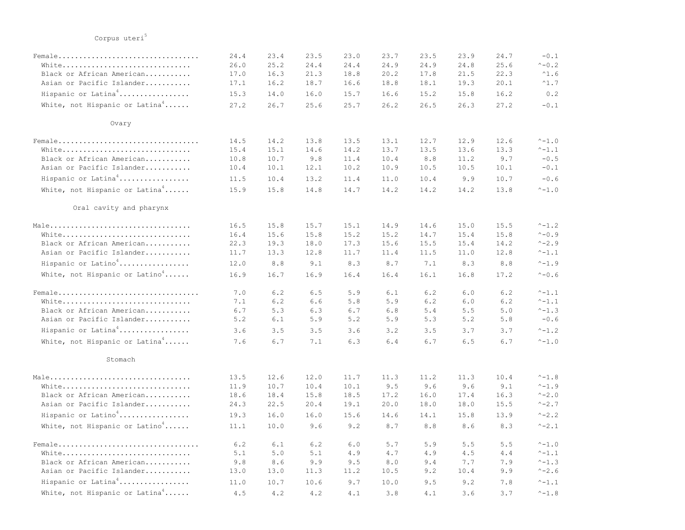|                                            | 24.4  | 23.4 | 23.5 | 23.0  | 23.7 | 23.5 | 23.9 | 24.7 | $-0.1$              |
|--------------------------------------------|-------|------|------|-------|------|------|------|------|---------------------|
| White                                      | 26.0  | 25.2 | 24.4 | 24.4  | 24.9 | 24.9 | 24.8 | 25.6 | $^{\wedge}$ - 0.2   |
| Black or African American                  | 17.0  | 16.3 | 21.3 | 18.8  | 20.2 | 17.8 | 21.5 | 22.3 | $^{\wedge}1.6$      |
| Asian or Pacific Islander                  | 17.1  | 16.2 | 18.7 | 16.6  | 18.8 | 18.1 | 19.3 | 20.1 | $^{\wedge}1.7$      |
| Hispanic or Latina <sup>4</sup>            | 15.3  | 14.0 | 16.0 | 15.7  | 16.6 | 15.2 | 15.8 | 16.2 | 0.2                 |
| White, not Hispanic or Latina <sup>4</sup> | 27.2  | 26.7 | 25.6 | 25.7  | 26.2 | 26.5 | 26.3 | 27.2 | $-0.1$              |
| Ovary                                      |       |      |      |       |      |      |      |      |                     |
|                                            | 14.5  | 14.2 | 13.8 | 13.5  | 13.1 | 12.7 | 12.9 | 12.6 | $^{\wedge} -1.0$    |
| White                                      | 15.4  | 15.1 | 14.6 | 14.2  | 13.7 | 13.5 | 13.6 | 13.3 | $^{\wedge} -1.1$    |
| Black or African American                  | 10.8  | 10.7 | 9.8  | 11.4  | 10.4 | 8.8  | 11.2 | 9.7  | $-0.5$              |
| Asian or Pacific Islander                  | 10.4  | 10.1 | 12.1 | 10.2  | 10.9 | 10.5 | 10.5 | 10.1 | $-0.1$              |
| Hispanic or Latina <sup>4</sup>            | 11.5  | 10.4 | 13.2 | 11.4  | 11.0 | 10.4 | 9.9  | 10.7 | $-0.6$              |
| White, not Hispanic or Latina <sup>4</sup> | 15.9  | 15.8 | 14.8 | 14.7  | 14.2 | 14.2 | 14.2 | 13.8 | $^{\wedge} -1.0$    |
| Oral cavity and pharynx                    |       |      |      |       |      |      |      |      |                     |
|                                            | 16.5  | 15.8 | 15.7 | 15.1  | 14.9 | 14.6 | 15.0 | 15.5 | $^{\wedge} -1.2$    |
| White                                      | 16.4  | 15.6 | 15.8 | 15.2  | 15.2 | 14.7 | 15.4 | 15.8 | $^{\wedge} -0.9$    |
| Black or African American                  | 22.3  | 19.3 | 18.0 | 17.3  | 15.6 | 15.5 | 15.4 | 14.2 | $^{\wedge} - 2.9$   |
| Asian or Pacific Islander                  | 11.7  | 13.3 | 12.8 | 11.7  | 11.4 | 11.5 | 11.0 | 12.8 | $^{\wedge} - 1$ . 1 |
| Hispanic or $Latino4$                      | 12.0  | 8.8  | 9.1  | 8.3   | 8.7  | 7.1  | 8.3  | 8.8  | $^{\wedge} -1.9$    |
| White, not Hispanic or Latino <sup>4</sup> | 16.9  | 16.7 | 16.9 | 16.4  | 16.4 | 16.1 | 16.8 | 17.2 | $^{\wedge} - 0.6$   |
| Female                                     | 7.0   | 6.2  | 6.5  | 5.9   | 6.1  | 6.2  | 6.0  | 6.2  | $^{\wedge}-1.1$     |
| White                                      | 7.1   | 6.2  | 6.6  | 5.8   | 5.9  | 6.2  | 6.0  | 6.2  | $^{\wedge} -1.1$    |
| Black or African American                  | $6.7$ | 5.3  | 6.3  | $6.7$ | 6.8  | 5.4  | 5.5  | 5.0  | $^{\wedge}-1.3$     |
| Asian or Pacific Islander                  | 5.2   | 6.1  | 5.9  | 5.2   | 5.9  | 5.3  | 5.2  | 5.8  | $-0.6$              |
| Hispanic or Latina <sup>4</sup>            | 3.6   | 3.5  | 3.5  | 3.6   | 3.2  | 3.5  | 3.7  | 3.7  | $^{\wedge} -1.2$    |
| White, not Hispanic or Latina <sup>4</sup> | 7.6   | 6.7  | 7.1  | 6.3   | 6.4  | 6.7  | 6.5  | 6.7  | $^{\wedge} -1.0$    |
| Stomach                                    |       |      |      |       |      |      |      |      |                     |
| Male                                       | 13.5  | 12.6 | 12.0 | 11.7  | 11.3 | 11.2 | 11.3 | 10.4 | $^{\wedge}-1.8$     |
| White                                      | 11.9  | 10.7 | 10.4 | 10.1  | 9.5  | 9.6  | 9.6  | 9.1  | $^{\wedge} -1.9$    |
| Black or African American                  | 18.6  | 18.4 | 15.8 | 18.5  | 17.2 | 16.0 | 17.4 | 16.3 | $^{\wedge} - 2.0$   |
| Asian or Pacific Islander                  | 24.3  | 22.5 | 20.4 | 19.1  | 20.0 | 18.0 | 18.0 | 15.5 | $^{\wedge}$ -2.7    |
| Hispanic or Latino <sup>4</sup>            | 19.3  | 16.0 | 16.0 | 15.6  | 14.6 | 14.1 | 15.8 | 13.9 | $^{\wedge}$ -2.2    |
| White, not Hispanic or Latino <sup>4</sup> | 11.1  | 10.0 | 9.6  | 9.2   | 8.7  | 8.8  | 8.6  | 8.3  | $^{\wedge}$ -2.1    |
|                                            | 6.2   | 6.1  | 6.2  | 6.0   | 5.7  | 5.9  | 5.5  | 5.5  | $^{\wedge} -1.0$    |
| White                                      | 5.1   | 5.0  | 5.1  | 4.9   | 4.7  | 4.9  | 4.5  | 4.4  | $^{\wedge} -1.1$    |
| Black or African American                  | 9.8   | 8.6  | 9.9  | 9.5   | 8.0  | 9.4  | 7.7  | 7.9  | $^{\wedge} -1.3$    |
| Asian or Pacific Islander                  | 13.0  | 13.0 | 11.3 | 11.2  | 10.5 | 9.2  | 10.4 | 9.9  | $^{\wedge}$ -2.6    |
| Hispanic or Latina <sup>4</sup>            | 11.0  | 10.7 | 10.6 | 9.7   | 10.0 | 9.5  | 9.2  | 7.8  | $^{\wedge} -1.1$    |
| White, not Hispanic or Latina <sup>4</sup> | 4.5   | 4.2  | 4.2  | 4.1   | 3.8  | 4.1  | 3.6  | 3.7  | $^{\wedge} -1.8$    |

## Corpus uteri $5$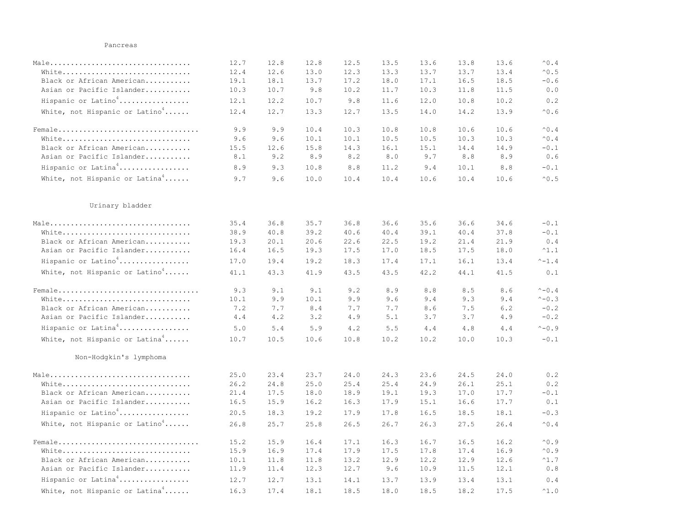## Pancreas

|                                            | 12.7 | 12.8 | 12.8 | 12.5 | 13.5  | 13.6 | 13.8 | 13.6 | $^{\wedge}0.4$                                        |
|--------------------------------------------|------|------|------|------|-------|------|------|------|-------------------------------------------------------|
| White                                      | 12.4 | 12.6 | 13.0 | 12.3 | 13.3  | 13.7 | 13.7 | 13.4 | $^{\wedge}0.5$                                        |
| Black or African American                  | 19.1 | 18.1 | 13.7 | 17.2 | 18.0  | 17.1 | 16.5 | 18.5 | $-0.6$                                                |
| Asian or Pacific Islander                  | 10.3 | 10.7 | 9.8  | 10.2 | 11.7  | 10.3 | 11.8 | 11.5 | $\ensuremath{\mathbf{0}}$ . $\ensuremath{\mathbf{0}}$ |
| Hispanic or Latino <sup>4</sup>            | 12.1 | 12.2 | 10.7 | 9.8  | 11.6  | 12.0 | 10.8 | 10.2 | 0.2                                                   |
| White, not Hispanic or Latino <sup>4</sup> | 12.4 | 12.7 | 13.3 | 12.7 | 13.5  | 14.0 | 14.2 | 13.9 | $^{\wedge}0.6$                                        |
| Female                                     | 9.9  | 9.9  | 10.4 | 10.3 | 10.8  | 10.8 | 10.6 | 10.6 | $^{\wedge}0.4$                                        |
| White                                      | 9.6  | 9.6  | 10.1 | 10.1 | 10.5  | 10.5 | 10.3 | 10.3 | $^{\wedge}0.4$                                        |
| Black or African American                  | 15.5 | 12.6 | 15.8 | 14.3 | 16.1  | 15.1 | 14.4 | 14.9 | $-0.1$                                                |
| Asian or Pacific Islander                  | 8.1  | 9.2  | 8.9  | 8.2  | $8.0$ | 9.7  | 8.8  | 8.9  | 0.6                                                   |
| Hispanic or Latina <sup>4</sup>            | 8.9  | 9.3  | 10.8 | 8.8  | 11.2  | 9.4  | 10.1 | 8.8  | $-0.1$                                                |
| White, not Hispanic or Latina <sup>4</sup> | 9.7  | 9.6  | 10.0 | 10.4 | 10.4  | 10.6 | 10.4 | 10.6 | $^{\wedge}0.5$                                        |
| Urinary bladder                            |      |      |      |      |       |      |      |      |                                                       |
| Male                                       | 35.4 | 36.8 | 35.7 | 36.8 | 36.6  | 35.6 | 36.6 | 34.6 | $-0.1$                                                |
| White                                      | 38.9 | 40.8 | 39.2 | 40.6 | 40.4  | 39.1 | 40.4 | 37.8 | $-0.1$                                                |
| Black or African American                  | 19.3 | 20.1 | 20.6 | 22.6 | 22.5  | 19.2 | 21.4 | 21.9 | 0.4                                                   |
| Asian or Pacific Islander                  | 16.4 | 16.5 | 19.3 | 17.5 | 17.0  | 18.5 | 17.5 | 18.0 | $^{\wedge}1.1$                                        |
| Hispanic or Latino <sup>4</sup>            | 17.0 | 19.4 | 19.2 | 18.3 | 17.4  | 17.1 | 16.1 | 13.4 | $^{\wedge}-1.4$                                       |
| White, not Hispanic or Latino <sup>4</sup> | 41.1 | 43.3 | 41.9 | 43.5 | 43.5  | 42.2 | 44.1 | 41.5 | 0.1                                                   |
|                                            | 9.3  | 9.1  | 9.1  | 9.2  | 8.9   | 8.8  | 8.5  | 8.6  | $^{\wedge} - 0.4$                                     |
| White                                      | 10.1 | 9.9  | 10.1 | 9.9  | 9.6   | 9.4  | 9.3  | 9.4  | $^{\wedge} - 0.3$                                     |
| Black or African American                  | 7.2  | 7.7  | 8.4  | 7.7  | 7.7   | 8.6  | 7.5  | 6.2  | $-0.2$                                                |
| Asian or Pacific Islander                  | 4.4  | 4.2  | 3.2  | 4.9  | 5.1   | 3.7  | 3.7  | 4.9  | $-0.2$                                                |
| Hispanic or Latina <sup>4</sup>            | 5.0  | 5.4  | 5.9  | 4.2  | 5.5   | 4.4  | 4.8  | 4.4  | $^{\wedge} - 0.9$                                     |
| White, not Hispanic or Latina <sup>4</sup> | 10.7 | 10.5 | 10.6 | 10.8 | 10.2  | 10.2 | 10.0 | 10.3 | $-0.1$                                                |
| Non-Hodgkin's lymphoma                     |      |      |      |      |       |      |      |      |                                                       |
| Male                                       | 25.0 | 23.4 | 23.7 | 24.0 | 24.3  | 23.6 | 24.5 | 24.0 | 0.2                                                   |
| White                                      | 26.2 | 24.8 | 25.0 | 25.4 | 25.4  | 24.9 | 26.1 | 25.1 | 0.2                                                   |
| Black or African American                  | 21.4 | 17.5 | 18.0 | 18.9 | 19.1  | 19.3 | 17.0 | 17.7 | $-0.1$                                                |
| Asian or Pacific Islander                  | 16.5 | 15.9 | 16.2 | 16.3 | 17.9  | 15.1 | 16.6 | 17.7 | 0.1                                                   |
| Hispanic or Latino <sup>4</sup>            | 20.5 | 18.3 | 19.2 | 17.9 | 17.8  | 16.5 | 18.5 | 18.1 | $-0.3$                                                |
| White, not Hispanic or Latino <sup>4</sup> | 26.8 | 25.7 | 25.8 | 26.5 | 26.7  | 26.3 | 27.5 | 26.4 | $^{\small \wedge}$ 0 . 4                              |
| Female                                     | 15.2 | 15.9 | 16.4 | 17.1 | 16.3  | 16.7 | 16.5 | 16.2 | $^{\wedge}0.9$                                        |
| White                                      | 15.9 | 16.9 | 17.4 | 17.9 | 17.5  | 17.8 | 17.4 | 16.9 | $^{\wedge}0.9$                                        |
| Black or African American                  | 10.1 | 11.8 | 11.8 | 13.2 | 12.9  | 12.2 | 12.9 | 12.6 | $^{\wedge}1.7$                                        |
| Asian or Pacific Islander                  | 11.9 | 11.4 | 12.3 | 12.7 | 9.6   | 10.9 | 11.5 | 12.1 | 0.8                                                   |
| Hispanic or Latina <sup>4</sup>            | 12.7 | 12.7 | 13.1 | 14.1 | 13.7  | 13.9 | 13.4 | 13.1 | 0.4                                                   |
| White, not Hispanic or Latina <sup>4</sup> | 16.3 | 17.4 | 18.1 | 18.5 | 18.0  | 18.5 | 18.2 | 17.5 | $^{\wedge}1.0$                                        |